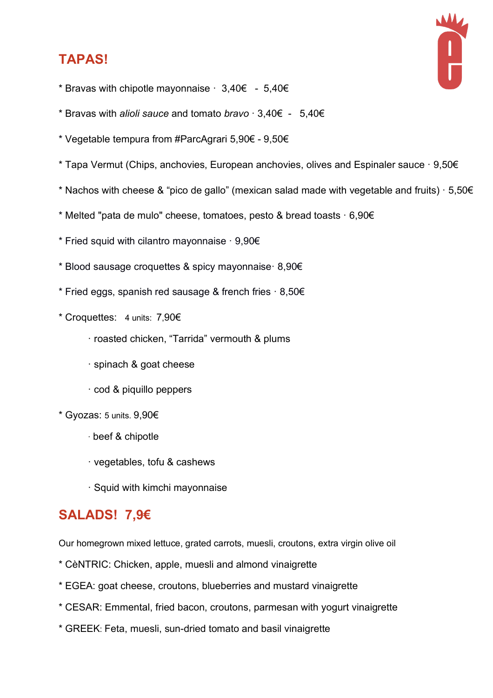### **TAPAS!**



- \* Bravas with chipotle mayonnaise  $\cdot$  3,40 $\epsilon$  5,40 $\epsilon$
- \* Bravas with *alioli sauce* and tomato *bravo* · 3,40€ 5,40€
- \* Vegetable tempura from #ParcAgrari 5,90€ 9,50€
- \* Tapa Vermut (Chips, anchovies, European anchovies, olives and Espinaler sauce · 9,50€
- \* Nachos with cheese & "pico de gallo" (mexican salad made with vegetable and fruits)  $\cdot$  5,50 $\epsilon$
- \* Melted "pata de mulo" cheese, tomatoes, pesto & bread toasts · 6,90€
- \* Fried squid with cilantro mayonnaise · 9,90€
- \* Blood sausage croquettes & spicy mayonnaise· 8,90€
- \* Fried eggs, spanish red sausage & french fries  $\cdot$  8,50 $\epsilon$
- \* Croquettes: 4 units: 7,90€
	- · roasted chicken, "Tarrida" vermouth & plums
	- · spinach & goat cheese
	- · cod & piquillo peppers
- \* Gyozas: 5 units. 9,90€
	- · beef & chipotle
	- · vegetables, tofu & cashews
	- · Squid with kimchi mayonnaise

#### **SALADS! 7,9€**

Our homegrown mixed lettuce, grated carrots, muesli, croutons, extra virgin olive oil

- \* CèNTRIC: Chicken, apple, muesli and almond vinaigrette
- \* EGEA: goat cheese, croutons, blueberries and mustard vinaigrette
- \* CESAR: Emmental, fried bacon, croutons, parmesan with yogurt vinaigrette
- \* GREEK: Feta, muesli, sun-dried tomato and basil vinaigrette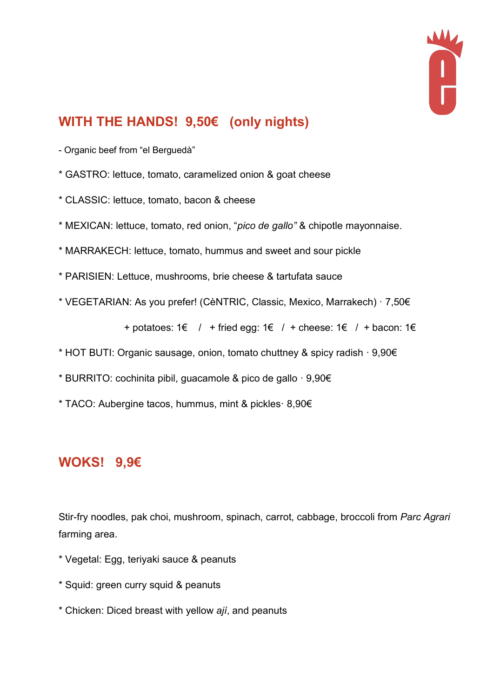

# **WITH THE HANDS! 9,50€ (only nights)**

- Organic beef from "el Berguedà"
- \* GASTRO: lettuce, tomato, caramelized onion & goat cheese
- \* CLASSIC: lettuce, tomato, bacon & cheese
- \* MEXICAN: lettuce, tomato, red onion, "*pico de gallo"* & chipotle mayonnaise.
- \* MARRAKECH: lettuce, tomato, hummus and sweet and sour pickle
- \* PARISIEN: Lettuce, mushrooms, brie cheese & tartufata sauce
- \* VEGETARIAN: As you prefer! (CèNTRIC, Classic, Mexico, Marrakech) · 7,50€

+ potatoes: 1€ / + fried egg: 1€ / + cheese: 1€ / + bacon: 1€

- \* HOT BUTI: Organic sausage, onion, tomato chuttney & spicy radish · 9,90€
- \* BURRITO: cochinita pibil, guacamole & pico de gallo · 9,90€
- \* TACO: Aubergine tacos, hummus, mint & pickles· 8,90€

#### **WOKS! 9,9€**

Stir-fry noodles, pak choi, mushroom, spinach, carrot, cabbage, broccoli from *Parc Agrari* farming area.

- \* Vegetal: Egg, teriyaki sauce & peanuts
- \* Squid: green curry squid & peanuts
- \* Chicken: Diced breast with yellow *ají*, and peanuts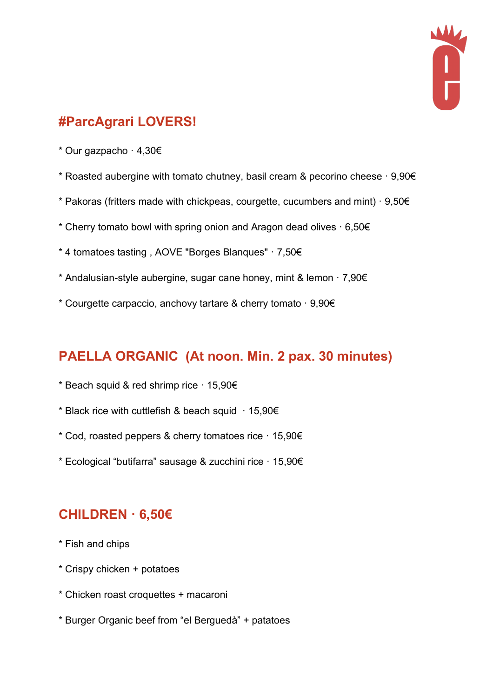

# **#ParcAgrari LOVERS!**

- \* Our gazpacho · 4,30€
- \* Roasted aubergine with tomato chutney, basil cream & pecorino cheese · 9,90€
- \* Pakoras (fritters made with chickpeas, courgette, cucumbers and mint) · 9,50€
- \* Cherry tomato bowl with spring onion and Aragon dead olives · 6,50€
- \* 4 tomatoes tasting , AOVE "Borges Blanques" · 7,50€
- \* Andalusian-style aubergine, sugar cane honey, mint & lemon  $\cdot$  7,90 $\epsilon$
- \* Courgette carpaccio, anchovy tartare & cherry tomato · 9,90€

#### **PAELLA ORGANIC (At noon. Min. 2 pax. 30 minutes)**

- \* Beach squid & red shrimp rice · 15,90€
- \* Black rice with cuttlefish & beach squid  $\cdot$  15,90 $\epsilon$
- \* Cod, roasted peppers & cherry tomatoes rice · 15,90€
- \* Ecological "butifarra" sausage & zucchini rice · 15,90€

#### **CHILDREN · 6,50€**

- \* Fish and chips
- \* Crispy chicken + potatoes
- \* Chicken roast croquettes + macaroni
- \* Burger Organic beef from "el Berguedà" + patatoes